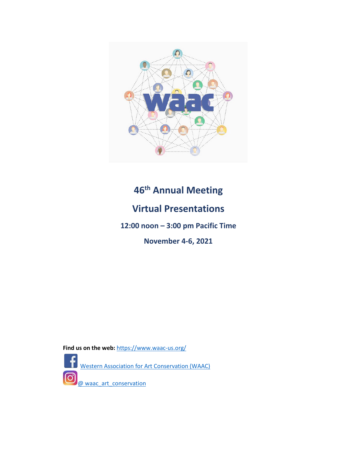

# **46th Annual Meeting**

# **Virtual Presentations**

**12:00 noon – 3:00 pm Pacific Time**

**November 4-6, 2021**

Find us on the web: <https://www.waac-us.org/>



@ waac art conservation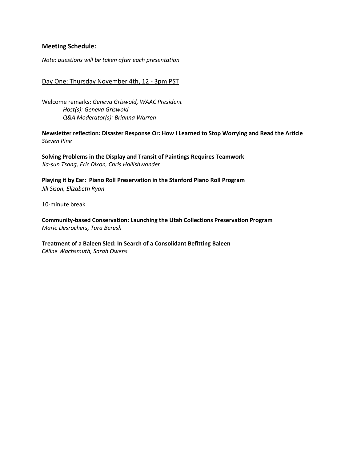#### **Meeting Schedule:**

*Note: questions will be taken after each presentation*

#### Day One: Thursday November 4th, 12 - 3pm PST

Welcome remarks: *Geneva Griswold, WAAC President Host(s): Geneva Griswold Q&A Moderator(s): Brianna Warren*

**[Newsletter](#page-3-0) reflection: Disaster Response Or: How I Learned to Stop Worrying and Read the Article** *Steven Pine*

**Solving Problems in the Display and Transit of Paintings Requires Teamwork** *Jia-sun Tsang, Eric Dixon, Chris [Hollishwander](#page-4-0)*

**[Playing it by Ear: Piano Roll Preservation in the Stanford Piano Roll Program](#page-6-0)** *Jill Sison, Elizabeth Ryan*

10-minute break

**[Community-based](#page-7-0) Conservation: Launching the Utah Collections Preservation Program** *Marie Desrochers, Tara Beresh*

#### **Treatment of a Baleen Sled: In Search of a Consolidant Befitting Baleen** *Céline [Wachsmuth,](#page-9-0) Sarah Owens*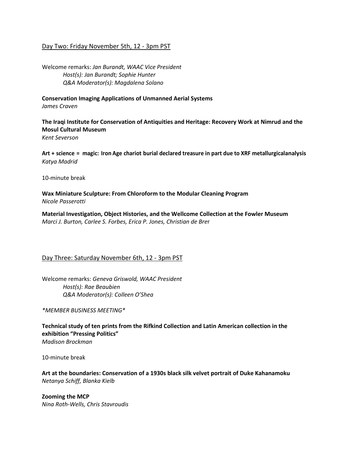#### Day Two: Friday November 5th, 12 - 3pm PST

Welcome remarks: *Jan Burandt, WAAC Vice President Host(s): Jan Burandt; Sophie Hunter Q&A Moderator(s): Magdalena Solano*

**[Conservation](#page-11-0) Imaging Applications of Unmanned Aerial Systems** *James Craven*

**The Iraqi Institute for [Conservation](#page-12-0) of Antiquities and Heritage: Recovery Work at Nimrud and the Mosul Cultural Museum** *Kent Severson*

**Art + science = magic: Iron Age chariot burial [declared treasure in part due to XRF metallurgicalanalysis](#page-13-0)** *Katya Madrid*

10-minute break

**Wax Miniature Sculpture: From [Chloroform](#page-15-0) to the Modular Cleaning Program** *Nicole Passerotti*

**[Material Investigation, Object Histories, and the Wellcome Collection at the Fowler Museum](#page-16-0)** *Marci J. Burton, Carlee S. Forbes, Erica P. Jones, Christian de Bre*r

#### Day Three: Saturday November 6th, 12 - 3pm PST

Welcome remarks: *Geneva Griswold, WAAC President Host(s): Rae Beaubien Q&A Moderator(s): Colleen O'Shea*

*\*MEMBER BUSINESS MEETING\**

**Technical study of ten prints from the Rifkind Collection and Latin American collection in the [exhibition](#page-17-0) "Pressing Politics"** *Madison Brockman*

10-minute break

**Art at the boundaries: [Conservation](#page-18-0) of a 1930s black silk velvet portrait of Duke Kahanamoku** *Netanya Schiff, Blanka Kielb*

**Zooming the MCP** *Nina Roth-Wells, [Chris Stavroudis](#page-20-0)*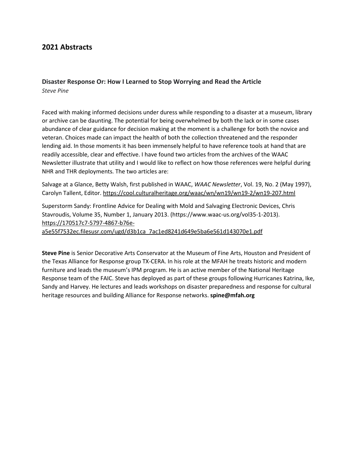## <span id="page-3-0"></span>**2021 Abstracts**

#### **Disaster Response Or: How I Learned to Stop Worrying and Read the Article** *Steve Pine*

Faced with making informed decisions under duress while responding to a disaster at a museum, library or archive can be daunting. The potential for being overwhelmed by both the lack or in some cases abundance of clear guidance for decision making at the moment is a challenge for both the novice and veteran. Choices made can impact the health of both the collection threatened and the responder lending aid. In those moments it has been immensely helpful to have reference tools at hand that are readily accessible, clear and effective. I have found two articles from the archives of the WAAC Newsletter illustrate that utility and I would like to reflect on how those references were helpful during NHR and THR deployments. The two articles are:

Salvage at a Glance, Betty Walsh, first published in WAAC, *WAAC Newsletter*, Vol. 19, No. 2 (May 1997), Carolyn Tallent, Editor[. https://cool.culturalheritage.org/waac/wn/wn19/wn19-2/wn19-207.html](https://nam10.safelinks.protection.outlook.com/?url=https%3A%2F%2Fcool.culturalheritage.org%2Fwaac%2Fwn%2Fwn19%2Fwn19-2%2Fwn19-207.html&data=04%7C01%7Cspine%40mfah.org%7Ce77150d59c134137cf3708d97ecf5b90%7Cce2db4e3c9e74379954cb13633cef0df%7C0%7C0%7C637680251336287529%7CUnknown%7CTWFpbGZsb3d8eyJWIjoiMC4wLjAwMDAiLCJQIjoiV2luMzIiLCJBTiI6Ik1haWwiLCJXVCI6Mn0%3D%7C1000&sdata=VF4fhgJRl5oA%2B26gZURLtbLedkZNE5Do2ejcRSesKOY%3D&reserved=0)

Superstorm Sandy: Frontline Advice for Dealing with Mold and Salvaging Electronic Devices, Chris Stavroudis, Volume 35, Number 1, January 2013. (https://www.waac-us.org/vol35-1-2013). [https://170517c7-5797-4867-b76e-](https://nam10.safelinks.protection.outlook.com/?url=https%3A%2F%2F170517c7-5797-4867-b76e-a5e55f7532ec.filesusr.com%2Fugd%2Fd3b1ca_7ac1ed8241d649e5ba6e561d143070e1.pdf&data=04%7C01%7Cspine%40mfah.org%7Ce77150d59c134137cf3708d97ecf5b90%7Cce2db4e3c9e74379954cb13633cef0df%7C0%7C0%7C637680251336297525%7CUnknown%7CTWFpbGZsb3d8eyJWIjoiMC4wLjAwMDAiLCJQIjoiV2luMzIiLCJBTiI6Ik1haWwiLCJXVCI6Mn0%3D%7C1000&sdata=qwgAE4WvaQ%2BMIiDUuByr8RqZY2fbIdJGH%2FxpueR4g40%3D&reserved=0)

[a5e55f7532ec.filesusr.com/ugd/d3b1ca\\_7ac1ed8241d649e5ba6e561d143070e1.pdf](https://nam10.safelinks.protection.outlook.com/?url=https%3A%2F%2F170517c7-5797-4867-b76e-a5e55f7532ec.filesusr.com%2Fugd%2Fd3b1ca_7ac1ed8241d649e5ba6e561d143070e1.pdf&data=04%7C01%7Cspine%40mfah.org%7Ce77150d59c134137cf3708d97ecf5b90%7Cce2db4e3c9e74379954cb13633cef0df%7C0%7C0%7C637680251336297525%7CUnknown%7CTWFpbGZsb3d8eyJWIjoiMC4wLjAwMDAiLCJQIjoiV2luMzIiLCJBTiI6Ik1haWwiLCJXVCI6Mn0%3D%7C1000&sdata=qwgAE4WvaQ%2BMIiDUuByr8RqZY2fbIdJGH%2FxpueR4g40%3D&reserved=0)

**Steve Pine** is Senior Decorative Arts Conservator at the Museum of Fine Arts, Houston and President of the Texas Alliance for Response group TX-CERA. In his role at the MFAH he treats historic and modern furniture and leads the museum's IPM program. He is an active member of the National Heritage Response team of the FAIC. Steve has deployed as part of these groups following Hurricanes Katrina, Ike, Sandy and Harvey. He lectures and leads workshops on disaster preparedness and response for cultural heritage resources and building Alliance for Response networks. **spine@mfah.org**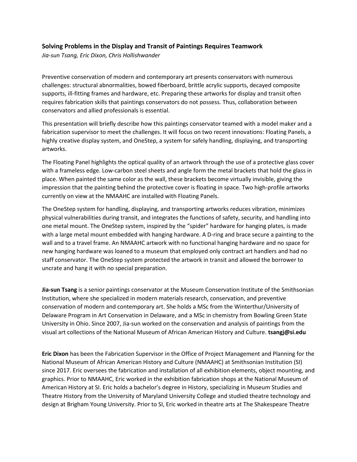#### <span id="page-4-0"></span>**Solving Problems in the Display and Transit of Paintings Requires Teamwork**

*Jia-sun Tsang, Eric Dixon, Chris Hollishwander* 

Preventive conservation of modern and contemporary art presents conservators with numerous challenges: structural abnormalities, bowed fiberboard, brittle acrylic supports, decayed composite supports, ill-fitting frames and hardware, etc. Preparing these artworks for display and transit often requires fabrication skills that paintings conservators do not possess. Thus, collaboration between conservators and allied professionals is essential.

This presentation will briefly describe how this paintings conservator teamed with a model maker and a fabrication supervisor to meet the challenges. It will focus on two recent innovations: Floating Panels, a highly creative display system, and OneStep, a system for safely handling, displaying, and transporting artworks.

The Floating Panel highlights the optical quality of an artwork through the use of a protective glass cover with a frameless edge. Low-carbon steel sheets and angle form the metal brackets that hold the glass in place. When painted the same color as the wall, these brackets become virtually invisible, giving the impression that the painting behind the protective cover is floating in space. Two high-profile artworks currently on view at the NMAAHC are installed with Floating Panels.

The OneStep system for handling, displaying, and transporting artworks reduces vibration, minimizes physical vulnerabilities during transit, and integrates the functions of safety, security, and handling into one metal mount. The OneStep system, inspired by the "spider" hardware for hanging plates, is made with a large metal mount embedded with hanging hardware. A D-ring and brace secure a painting to the wall and to a travel frame. An NMAAHC artwork with no functional hanging hardware and no space for new hanging hardware was loaned to a museum that employed only contract art handlers and had no staff conservator. The OneStep system protected the artwork in transit and allowed the borrower to uncrate and hang it with no special preparation.

**Jia-sun Tsang** is a senior paintings conservator at the Museum Conservation Institute of the Smithsonian Institution, where she specialized in modern materials research, conservation, and preventive conservation of modern and contemporary art. She holds a MSc from the Winterthur/University of Delaware Program in Art Conservation in Delaware, and a MSc in chemistry from Bowling Green State University in Ohio. Since 2007, Jia-sun worked on the conservation and analysis of paintings from the visual art collections of the National Museum of African American History and Culture. **tsangj@si.edu**

**Eric Dixon** has been the Fabrication Supervisor in the Office of Project Management and Planning for the National Museum of African American History and Culture (NMAAHC) at Smithsonian Institution (SI) since 2017. Eric oversees the fabrication and installation of all exhibition elements, object mounting, and graphics. Prior to NMAAHC, Eric worked in the exhibition fabrication shops at the National Museum of American History at SI. Eric holds a bachelor's degree in History, specializing in Museum Studies and Theatre History from the University of Maryland University College and studied theatre technology and design at Brigham Young University. Prior to SI, Eric worked in theatre arts at The Shakespeare Theatre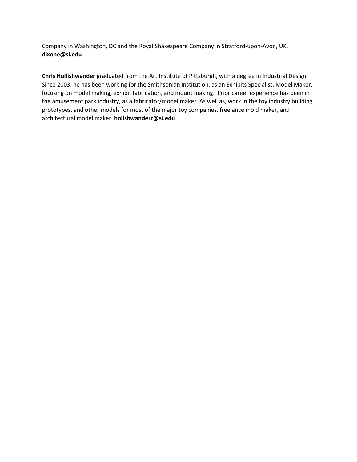Company in Washington, DC and the Royal Shakespeare Company in Stratford-upon-Avon, UK. **dixone@si.edu**

**Chris Hollishwander** graduated from the Art Institute of Pittsburgh, with a degree in Industrial Design. Since 2003, he has been working for the Smithsonian Institution, as an Exhibits Specialist, Model Maker, focusing on model making, exhibit fabrication, and mount making. Prior career experience has been in the amusement park industry, as a fabricator/model maker. As well as, work in the toy industry building prototypes, and other models for most of the major toy companies, freelance mold maker, and architectural model maker. **hollshwanderc@si.edu**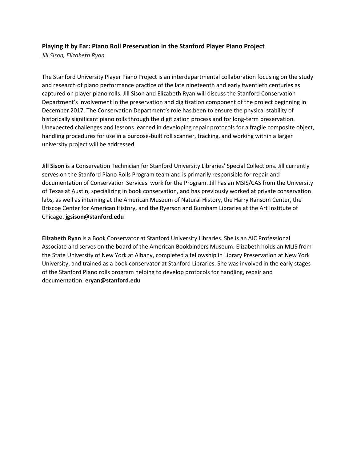#### <span id="page-6-0"></span>**Playing It by Ear: Piano Roll Preservation in the Stanford Player Piano Project**

*Jill Sison, Elizabeth Ryan*

The Stanford University Player Piano Project is an interdepartmental collaboration focusing on the study and research of piano performance practice of the late nineteenth and early twentieth centuries as captured on player piano rolls. Jill Sison and Elizabeth Ryan will discuss the Stanford Conservation Department's involvement in the preservation and digitization component of the project beginning in December 2017. The Conservation Department's role has been to ensure the physical stability of historically significant piano rolls through the digitization process and for long-term preservation. Unexpected challenges and lessons learned in developing repair protocols for a fragile composite object, handling procedures for use in a purpose-built roll scanner, tracking, and working within a larger university project will be addressed.

**Jill Sison** is a Conservation Technician for Stanford University Libraries' Special Collections. Jill currently serves on the Stanford Piano Rolls Program team and is primarily responsible for repair and documentation of Conservation Services' work for the Program. Jill has an MSIS/CAS from the University of Texas at Austin, specializing in book conservation, and has previously worked at private conservation labs, as well as interning at the American Museum of Natural History, the Harry Ransom Center, the Briscoe Center for American History, and the Ryerson and Burnham Libraries at the Art Institute of Chicago. **jgsison@stanford.edu**

**Elizabeth Ryan** is a Book Conservator at Stanford University Libraries. She is an AIC Professional Associate and serves on the board of the American Bookbinders Museum. Elizabeth holds an MLIS from the State University of New York at Albany, completed a fellowship in Library Preservation at New York University, and trained as a book conservator at Stanford Libraries. She was involved in the early stages of the Stanford Piano rolls program helping to develop protocols for handling, repair and documentation. **eryan@stanford.edu**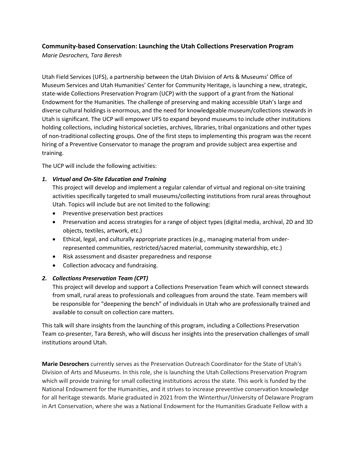## <span id="page-7-0"></span>**Community-based Conservation: Launching the Utah Collections Preservation Program**

*Marie Desrochers, Tara Beresh*

Utah Field Services (UFS), a partnership between the Utah Division of Arts & Museums' Office of Museum Services and Utah Humanities' Center for Community Heritage, is launching a new, strategic, state-wide Collections Preservation Program (UCP) with the support of a grant from the National Endowment for the Humanities. The challenge of preserving and making accessible Utah's large and diverse cultural holdings is enormous, and the need for knowledgeable museum/collections stewards in Utah is significant. The UCP will empower UFS to expand beyond museums to include other institutions holding collections, including historical societies, archives, libraries, tribal organizations and other types of non-traditional collecting groups. One of the first steps to implementing this program was the recent hiring of a Preventive Conservator to manage the program and provide subject area expertise and training.

The UCP will include the following activities:

#### *1. Virtual and On-Site Education and Training*

This project will develop and implement a regular calendar of virtual and regional on-site training activities specifically targeted to small museums/collecting institutions from rural areas throughout Utah. Topics will include but are not limited to the following:

- Preventive preservation best practices
- Preservation and access strategies for a range of object types (digital media, archival, 2D and 3D objects, textiles, artwork, etc.)
- Ethical, legal, and culturally appropriate practices (e.g., managing material from underrepresented communities, restricted/sacred material, community stewardship, etc.)
- Risk assessment and disaster preparedness and response
- Collection advocacy and fundraising.

### *2. Collections Preservation Team (CPT)*

This project will develop and support a Collections Preservation Team which will connect stewards from small, rural areas to professionals and colleagues from around the state. Team members will be responsible for "deepening the bench" of individuals in Utah who are professionally trained and available to consult on collection care matters.

This talk will share insights from the launching of this program, including a Collections Preservation Team co-presenter, Tara Beresh, who will discuss her insights into the preservation challenges of small institutions around Utah.

**Marie Desrochers** currently serves as the Preservation Outreach Coordinator for the State of Utah's Division of Arts and Museums. In this role, she is launching the Utah Collections Preservation Program which will provide training for small collecting institutions across the state. This work is funded by the National Endowment for the Humanities, and it strives to increase preventive conservation knowledge for all heritage stewards. Marie graduated in 2021 from the Winterthur/University of Delaware Program in Art Conservation, where she was a National Endowment for the Humanities Graduate Fellow with a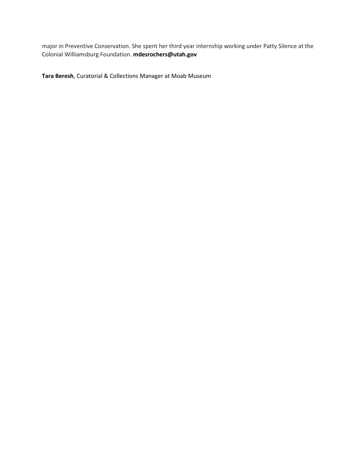major in Preventive Conservation. She spent her third year internship working under Patty Silence at the Colonial Williamsburg Foundation. **mdesrochers@utah.gov**

**Tara Beresh**, Curatorial & Collections Manager at Moab Museum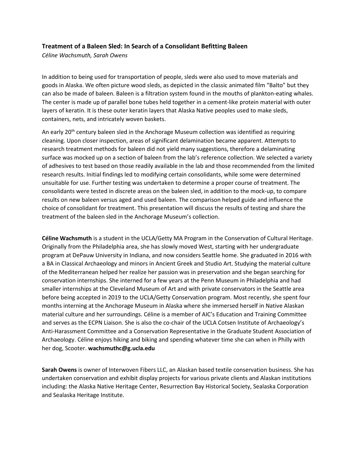#### <span id="page-9-0"></span>**Treatment of a Baleen Sled: In Search of a Consolidant Befitting Baleen**

*Céline Wachsmuth, Sarah Owens*

In addition to being used for transportation of people, sleds were also used to move materials and goods in Alaska. We often picture wood sleds, as depicted in the classic animated film "Balto" but they can also be made of baleen. Baleen is a filtration system found in the mouths of plankton-eating whales. The center is made up of parallel bone tubes held together in a cement-like protein material with outer layers of keratin. It is these outer keratin layers that Alaska Native peoples used to make sleds, containers, nets, and intricately woven baskets.

An early 20<sup>th</sup> century baleen sled in the Anchorage Museum collection was identified as requiring cleaning. Upon closer inspection, areas of significant delamination became apparent. Attempts to research treatment methods for baleen did not yield many suggestions, therefore a delaminating surface was mocked up on a section of baleen from the lab's reference collection. We selected a variety of adhesives to test based on those readily available in the lab and those recommended from the limited research results. Initial findings led to modifying certain consolidants, while some were determined unsuitable for use. Further testing was undertaken to determine a proper course of treatment. The consolidants were tested in discrete areas on the baleen sled, in addition to the mock-up, to compare results on new baleen versus aged and used baleen. The comparison helped guide and influence the choice of consolidant for treatment. This presentation will discuss the results of testing and share the treatment of the baleen sled in the Anchorage Museum's collection.

**Céline Wachsmuth** is a student in the UCLA/Getty MA Program in the Conservation of Cultural Heritage. Originally from the Philadelphia area, she has slowly moved West, starting with her undergraduate program at DePauw University in Indiana, and now considers Seattle home. She graduated in 2016 with a BA in Classical Archaeology and minors in Ancient Greek and Studio Art. Studying the material culture of the Mediterranean helped her realize her passion was in preservation and she began searching for conservation internships. She interned for a few years at the Penn Museum in Philadelphia and had smaller internships at the Cleveland Museum of Art and with private conservators in the Seattle area before being accepted in 2019 to the UCLA/Getty Conservation program. Most recently, she spent four months interning at the Anchorage Museum in Alaska where she immersed herself in Native Alaskan material culture and her surroundings. Céline is a member of AIC's Education and Training Committee and serves as the ECPN Liaison. She is also the co-chair of the UCLA Cotsen Institute of Archaeology's Anti-Harassment Committee and a Conservation Representative in the Graduate Student Association of Archaeology. Céline enjoys hiking and biking and spending whatever time she can when in Philly with her dog, Scooter. **wachsmuthc@g.ucla.edu**

**Sarah Owens** is owner of Interwoven Fibers LLC, an Alaskan based textile conservation business. She has undertaken conservation and exhibit display projects for various private clients and Alaskan institutions including: the Alaska Native Heritage Center, Resurrection Bay Historical Society, Sealaska Corporation and Sealaska Heritage Institute.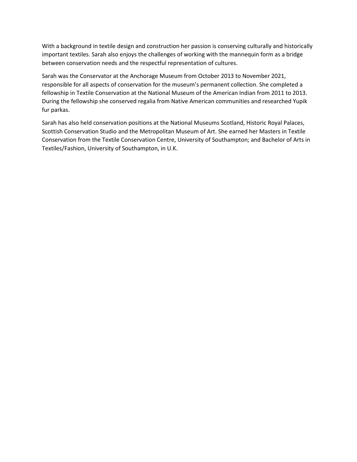With a background in textile design and construction her passion is conserving culturally and historically important textiles. Sarah also enjoys the challenges of working with the mannequin form as a bridge between conservation needs and the respectful representation of cultures.

Sarah was the Conservator at the Anchorage Museum from October 2013 to November 2021, responsible for all aspects of conservation for the museum's permanent collection. She completed a fellowship in Textile Conservation at the National Museum of the American Indian from 2011 to 2013. During the fellowship she conserved regalia from Native American communities and researched Yupik fur parkas.

Sarah has also held conservation positions at the National Museums Scotland, Historic Royal Palaces, Scottish Conservation Studio and the Metropolitan Museum of Art. She earned her Masters in Textile Conservation from the Textile Conservation Centre, University of Southampton; and Bachelor of Arts in Textiles/Fashion, University of Southampton, in U.K.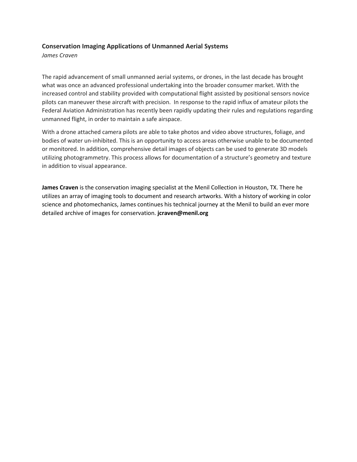#### <span id="page-11-0"></span>**Conservation Imaging Applications of Unmanned Aerial Systems**

*James Craven*

The rapid advancement of small unmanned aerial systems, or drones, in the last decade has brought what was once an advanced professional undertaking into the broader consumer market. With the increased control and stability provided with computational flight assisted by positional sensors novice pilots can maneuver these aircraft with precision. In response to the rapid influx of amateur pilots the Federal Aviation Administration has recently been rapidly updating their rules and regulations regarding unmanned flight, in order to maintain a safe airspace.

With a drone attached camera pilots are able to take photos and video above structures, foliage, and bodies of water un-inhibited. This is an opportunity to access areas otherwise unable to be documented or monitored. In addition, comprehensive detail images of objects can be used to generate 3D models utilizing photogrammetry. This process allows for documentation of a structure's geometry and texture in addition to visual appearance.

**James Craven** is the conservation imaging specialist at the Menil Collection in Houston, TX. There he utilizes an array of imaging tools to document and research artworks. With a history of working in color science and photomechanics, James continues his technical journey at the Menil to build an ever more detailed archive of images for conservation. **jcraven@menil.org**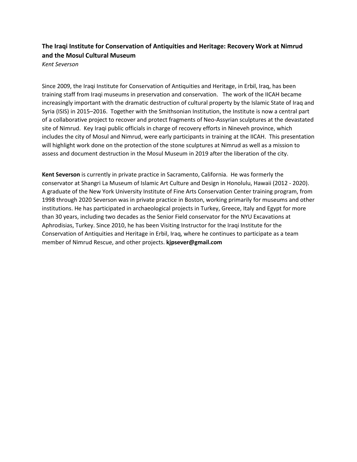# <span id="page-12-0"></span>**The Iraqi Institute for Conservation of Antiquities and Heritage: Recovery Work at Nimrud and the Mosul Cultural Museum**

*Kent Severson*

Since 2009, the Iraqi Institute for Conservation of Antiquities and Heritage, in Erbil, Iraq, has been training staff from Iraqi museums in preservation and conservation. The work of the IICAH became increasingly important with the dramatic destruction of cultural property by the Islamic State of Iraq and Syria (ISIS) in 2015–2016. Together with the Smithsonian Institution, the Institute is now a central part of a collaborative project to recover and protect fragments of Neo-Assyrian sculptures at the devastated site of Nimrud. Key Iraqi public officials in charge of recovery efforts in Nineveh province, which includes the city of Mosul and Nimrud, were early participants in training at the IICAH. This presentation will highlight work done on the protection of the stone sculptures at Nimrud as well as a mission to assess and document destruction in the Mosul Museum in 2019 after the liberation of the city.

**Kent Severson** is currently in private practice in Sacramento, California. He was formerly the conservator at Shangri La Museum of Islamic Art Culture and Design in Honolulu, Hawaii (2012 - 2020). A graduate of the New York University Institute of Fine Arts Conservation Center training program, from 1998 through 2020 Severson was in private practice in Boston, working primarily for museums and other institutions. He has participated in archaeological projects in Turkey, Greece, Italy and Egypt for more than 30 years, including two decades as the Senior Field conservator for the NYU Excavations at Aphrodisias, Turkey. Since 2010, he has been Visiting Instructor for the Iraqi Institute for the Conservation of Antiquities and Heritage in Erbil, Iraq, where he continues to participate as a team member of Nimrud Rescue, and other projects. **kjpsever@gmail.com**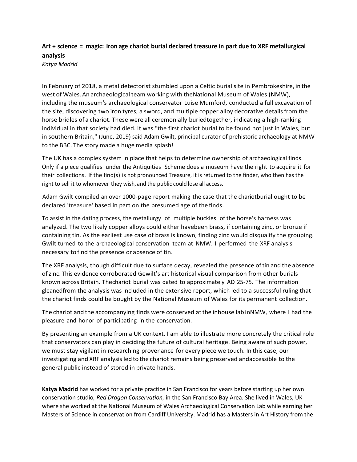## <span id="page-13-0"></span>**Art + science = magic: Iron age chariot burial declared treasure in part due to XRF metallurgical analysis** *Katya Madrid*

In February of 2018, a metal detectorist stumbled upon a Celtic burial site in Pembrokeshire, in the west of Wales.An archaeological team working with theNational Museum of Wales (NMW), including the museum's archaeological conservator Luise Mumford, conducted a full excavation of the site, discovering two iron tyres, a sword, and multiple copper alloy decorative detailsfrom the horse bridles of a chariot. These were all ceremonially buriedtogether, indicating a high-ranking individual in that society had died. It was "the first chariot burial to be found not just in Wales, but in southern Britain," (June, 2019) said Adam Gwilt, principal curator of prehistoric archaeology at NMW to the BBC. The story made a huge media splash!

The UK has a complex system in place that helps to determine ownership of archaeological finds. Only if a piece qualifies under the Antiquities Scheme does a museum have the right to acquire it for their collections. If the find(s) is not pronounced Treasure, it is returned to the finder, who then has the right to sell it to whomever they wish, and the public could lose all access.

Adam Gwilt compiled an over 1000-page report making the case that the chariotburial ought to be declared 'treasure' based in part on the presumed age of the finds.

To assist in the dating process, the metallurgy of multiple buckles of the horse's harness was analyzed. The two likely copper alloys could either havebeen brass, if containing zinc, or bronze if containing tin. As the earliest use case of brass is known, finding zinc would disqualify the grouping. Gwilt turned to the archaeological conservation team at NMW. I performed the XRF analysis necessary tofind the presence or absence of tin.

The XRF analysis, though difficult due to surface decay, revealed the presence oftin and the absence ofzinc. This evidence corroborated Gewilt's art historical visual comparison from other burials known across Britain. Thechariot burial was dated to approximately AD 25-75. The information gleanedfrom the analysis was included in the extensive report, which led to a successful ruling that the chariot finds could be bought by the National Museum of Wales for its permanent collection.

The chariot and the accompanying finds were conserved atthe inhouse lab inNMW, where I had the pleasure and honor of participating in the conservation.

By presenting an example from a UK context, I am able to illustrate more concretely the critical role that conservators can play in deciding the future of cultural heritage. Being aware of such power, we must stay vigilant in researching provenance for every piece we touch. In this case, our investigating and XRF analysis led to the chariot remains being preserved andaccessible to the general public instead of stored in private hands.

**Katya Madrid** has worked for a private practice in San Francisco for years before starting up her own conservation studio*, Red Dragon Conservation,* in the San Francisco Bay Area. She lived in Wales, UK where she worked at the National Museum of Wales Archaeological Conservation Lab while earning her Masters of Science in conservation from Cardiff University. Madrid has a Masters in Art History from the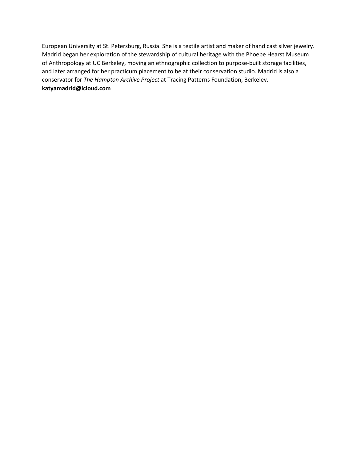European University at St. Petersburg, Russia. She is a textile artist and maker of hand cast silver jewelry. Madrid began her exploration of the stewardship of cultural heritage with the Phoebe Hearst Museum of Anthropology at UC Berkeley, moving an ethnographic collection to purpose-built storage facilities, and later arranged for her practicum placement to be at their conservation studio. Madrid is also a conservator for *The Hampton Archive Project* at Tracing Patterns Foundation, Berkeley. **katyamadrid@icloud.com**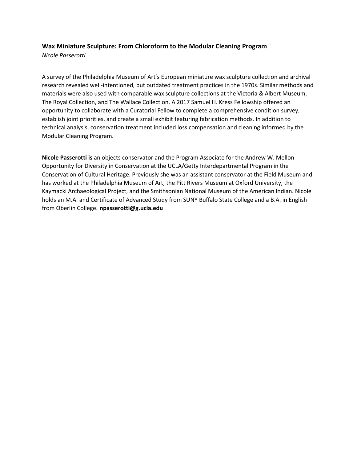#### <span id="page-15-0"></span>**Wax Miniature Sculpture: From Chloroform to the Modular Cleaning Program**

*Nicole Passerotti*

A survey of the Philadelphia Museum of Art's European miniature wax sculpture collection and archival research revealed well-intentioned, but outdated treatment practices in the 1970s. Similar methods and materials were also used with comparable wax sculpture collections at the Victoria & Albert Museum, The Royal Collection, and The Wallace Collection. A 2017 Samuel H. Kress Fellowship offered an opportunity to collaborate with a Curatorial Fellow to complete a comprehensive condition survey, establish joint priorities, and create a small exhibit featuring fabrication methods. In addition to technical analysis, conservation treatment included loss compensation and cleaning informed by the Modular Cleaning Program.

**Nicole Passerotti is** an objects conservator and the Program Associate for the Andrew W. Mellon Opportunity for Diversity in Conservation at the UCLA/Getty Interdepartmental Program in the Conservation of Cultural Heritage. Previously she was an assistant conservator at the Field Museum and has worked at the Philadelphia Museum of Art, the Pitt Rivers Museum at Oxford University, the Kaymacki Archaeological Project, and the Smithsonian National Museum of the American Indian. Nicole holds an M.A. and Certificate of Advanced Study from SUNY Buffalo State College and a B.A. in English from Oberlin College. **npasserotti@g.ucla.edu**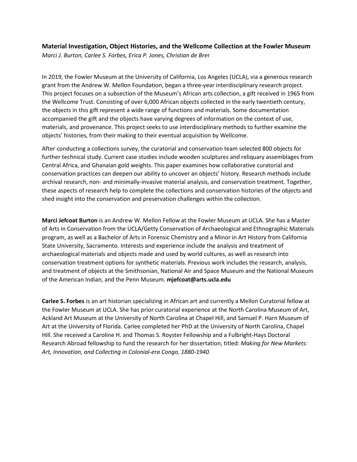#### <span id="page-16-0"></span>**Material Investigation, Object Histories, and the Wellcome Collection at the Fowler Museum** *Marci J. Burton, Carlee S. Forbes, Erica P. Jones, Christian de Bre*r

In 2019, the Fowler Museum at the University of California, Los Angeles (UCLA), via a generous research grant from the Andrew W. Mellon Foundation, began a three-year interdisciplinary research project. This project focuses on a subsection of the Museum's African arts collection, a gift received in 1965 from the Wellcome Trust. Consisting of over 6,000 African objects collected in the early twentieth century, the objects in this gift represent a wide range of functions and materials. Some documentation accompanied the gift and the objects have varying degrees of information on the context of use, materials, and provenance. This project seeks to use interdisciplinary methods to further examine the objects' histories, from their making to their eventual acquisition by Wellcome.

After conducting a collections survey, the curatorial and conservation team selected 800 objects for further technical study. Current case studies include wooden sculptures and reliquary assemblages from Central Africa, and Ghanaian gold weights. This paper examines how collaborative curatorial and conservation practices can deepen our ability to uncover an objects' history. Research methods include archival research, non- and minimally-invasive material analysis, and conservation treatment. Together, these aspects of research help to complete the collections and conservation histories of the objects and shed insight into the conservation and preservation challenges within the collection.

**Marci Jefcoat Burton** is an Andrew W. Mellon Fellow at the Fowler Museum at UCLA. She has a Master of Arts in Conservation from the UCLA/Getty Conservation of Archaeological and Ethnographic Materials program, as well as a Bachelor of Arts in Forensic Chemistry and a Minor in Art History from California State University, Sacramento. Interests and experience include the analysis and treatment of archaeological materials and objects made and used by world cultures, as well as research into conservation treatment options for synthetic materials. Previous work includes the research, analysis, and treatment of objects at the Smithsonian, National Air and Space Museum and the National Museum of the American Indian, and the Penn Museum. **mjefcoat@arts.ucla.edu**

**Carlee S. Forbes** is an art historian specializing in African art and currently a Mellon Curatorial fellow at the Fowler Museum at UCLA. She has prior curatorial experience at the North Carolina Museum of Art, Ackland Art Museum at the University of North Carolina at Chapel Hill, and Samuel P. Harn Museum of Art at the University of Florida. Carlee completed her PhD at the University of North Carolina, Chapel Hill. She received a Caroline H. and Thomas S. Royster Fellowship and a Fulbright-Hays Doctoral Research Abroad fellowship to fund the research for her dissertation, titled: *Making for New Markets: Art, Innovation, and Collecting in Colonial-era Congo, 1880-1940.*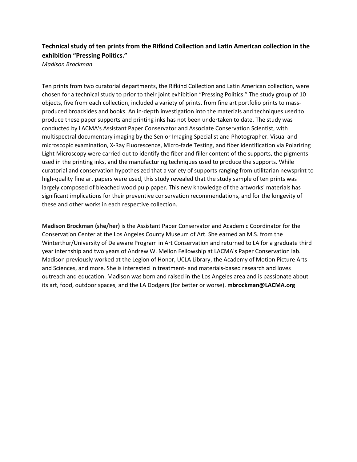# <span id="page-17-0"></span>**Technical study of ten prints from the Rifkind Collection and Latin American collection in the exhibition "Pressing Politics."**

*Madison Brockman*

Ten prints from two curatorial departments, the Rifkind Collection and Latin American collection, were chosen for a technical study to prior to their joint exhibition "Pressing Politics." The study group of 10 objects, five from each collection, included a variety of prints, from fine art portfolio prints to massproduced broadsides and books. An in-depth investigation into the materials and techniques used to produce these paper supports and printing inks has not been undertaken to date. The study was conducted by LACMA's Assistant Paper Conservator and Associate Conservation Scientist, with multispectral documentary imaging by the Senior Imaging Specialist and Photographer. Visual and microscopic examination, X-Ray Fluorescence, Micro-fade Testing, and fiber identification via Polarizing Light Microscopy were carried out to identify the fiber and filler content of the supports, the pigments used in the printing inks, and the manufacturing techniques used to produce the supports. While curatorial and conservation hypothesized that a variety of supports ranging from utilitarian newsprint to high-quality fine art papers were used, this study revealed that the study sample of ten prints was largely composed of bleached wood pulp paper. This new knowledge of the artworks' materials has significant implications for their preventive conservation recommendations, and for the longevity of these and other works in each respective collection.

**Madison Brockman (she/her)** is the Assistant Paper Conservator and Academic Coordinator for the Conservation Center at the Los Angeles County Museum of Art. She earned an M.S. from the Winterthur/University of Delaware Program in Art Conservation and returned to LA for a graduate third year internship and two years of Andrew W. Mellon Fellowship at LACMA's Paper Conservation lab. Madison previously worked at the Legion of Honor, UCLA Library, the Academy of Motion Picture Arts and Sciences, and more. She is interested in treatment- and materials-based research and loves outreach and education. Madison was born and raised in the Los Angeles area and is passionate about its art, food, outdoor spaces, and the LA Dodgers (for better or worse). **mbrockman@LACMA.org**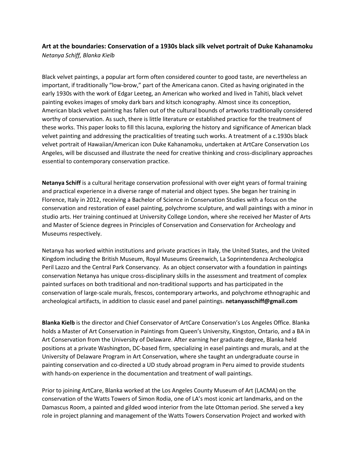<span id="page-18-0"></span>**Art at the boundaries: Conservation of a 1930s black silk velvet portrait of Duke Kahanamoku** *Netanya Schiff, Blanka Kielb*

Black velvet paintings, a popular art form often considered counter to good taste, are nevertheless an important, if traditionally "low-brow," part of the Americana canon. Cited as having originated in the early 1930s with the work of Edgar Leeteg, an American who worked and lived in Tahiti, black velvet painting evokes images of smoky dark bars and kitsch iconography. Almost since its conception, American black velvet painting has fallen out of the cultural bounds of artworks traditionally considered worthy of conservation. As such, there is little literature or established practice for the treatment of these works. This paper looks to fill this lacuna, exploring the history and significance of American black velvet painting and addressing the practicalities of treating such works. A treatment of a c.1930s black velvet portrait of Hawaiian/American icon Duke Kahanamoku, undertaken at ArtCare Conservation Los Angeles, will be discussed and illustrate the need for creative thinking and cross-disciplinary approaches essential to contemporary conservation practice.

**Netanya Schiff** is a cultural heritage conservation professional with over eight years of formal training and practical experience in a diverse range of material and object types. She began her training in Florence, Italy in 2012, receiving a Bachelor of Science in Conservation Studies with a focus on the conservation and restoration of easel painting, polychrome sculpture, and wall paintings with a minor in studio arts. Her training continued at University College London, where she received her Master of Arts and Master of Science degrees in Principles of Conservation and Conservation for Archeology and Museums respectively.

Netanya has worked within institutions and private practices in Italy, the United States, and the United Kingdom including the British Museum, Royal Museums Greenwich, La Soprintendenza Archeologica Peril Lazzo and the Central Park Conservancy. As an object conservator with a foundation in paintings conservation Netanya has unique cross-disciplinary skills in the assessment and treatment of complex painted surfaces on both traditional and non-traditional supports and has participated in the conservation of large-scale murals, frescos, contemporary artworks, and polychrome ethnographic and archeological artifacts, in addition to classic easel and panel paintings. **netanyasschiff@gmail.com**

**Blanka Kielb** is the director and Chief Conservator of ArtCare Conservation's Los Angeles Office. Blanka holds a Master of Art Conservation in Paintings from Queen's University, Kingston, Ontario, and a BA in Art Conservation from the University of Delaware. After earning her graduate degree, Blanka held positions at a private Washington, DC-based firm, specializing in easel paintings and murals, and at the University of Delaware Program in Art Conservation, where she taught an undergraduate course in painting conservation and co-directed a UD study abroad program in Peru aimed to provide students with hands-on experience in the documentation and treatment of wall paintings.

Prior to joining ArtCare, Blanka worked at the Los Angeles County Museum of Art (LACMA) on the conservation of the Watts Towers of Simon Rodia, one of LA's most iconic art landmarks, and on the Damascus Room, a painted and gilded wood interior from the late Ottoman period. She served a key role in project planning and management of the Watts Towers Conservation Project and worked with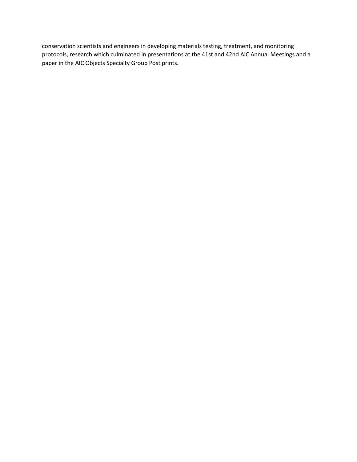conservation scientists and engineers in developing materials testing, treatment, and monitoring protocols, research which culminated in presentations at the 41st and 42nd AIC Annual Meetings and a paper in the AIC Objects Specialty Group Post prints.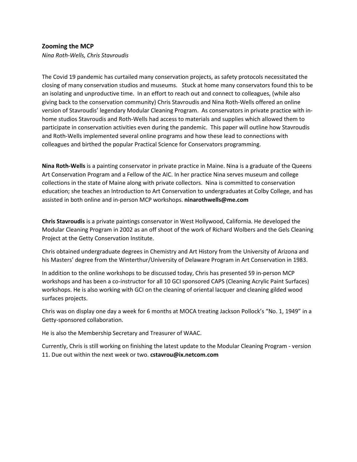#### <span id="page-20-0"></span>**Zooming the MCP**

*Nina Roth-Wells, Chris Stavroudis*

The Covid 19 pandemic has curtailed many conservation projects, as safety protocols necessitated the closing of many conservation studios and museums. Stuck at home many conservators found this to be an isolating and unproductive time. In an effort to reach out and connect to colleagues, (while also giving back to the conservation community) Chris Stavroudis and Nina Roth-Wells offered an online version of Stavroudis' legendary Modular Cleaning Program. As conservators in private practice with inhome studios Stavroudis and Roth-Wells had access to materials and supplies which allowed them to participate in conservation activities even during the pandemic. This paper will outline how Stavroudis and Roth-Wells implemented several online programs and how these lead to connections with colleagues and birthed the popular Practical Science for Conservators programming.

**Nina Roth-Wells** is a painting conservator in private practice in Maine. Nina is a graduate of the Queens Art Conservation Program and a Fellow of the AIC. In her practice Nina serves museum and college collections in the state of Maine along with private collectors. Nina is committed to conservation education; she teaches an Introduction to Art Conservation to undergraduates at Colby College, and has assisted in both online and in-person MCP workshops. **ninarothwells@me.com**

**Chris Stavroudis** is a private paintings conservator in West Hollywood, California. He developed the Modular Cleaning Program in 2002 as an off shoot of the work of Richard Wolbers and the Gels Cleaning Project at the Getty Conservation Institute.

Chris obtained undergraduate degrees in Chemistry and Art History from the University of Arizona and his Masters' degree from the Winterthur/University of Delaware Program in Art Conservation in 1983.

In addition to the online workshops to be discussed today, Chris has presented 59 in-person MCP workshops and has been a co-instructor for all 10 GCI sponsored CAPS (Cleaning Acrylic Paint Surfaces) workshops. He is also working with GCI on the cleaning of oriental lacquer and cleaning gilded wood surfaces projects.

Chris was on display one day a week for 6 months at MOCA treating Jackson Pollock's "No. 1, 1949" in a Getty-sponsored collaboration.

He is also the Membership Secretary and Treasurer of WAAC.

Currently, Chris is still working on finishing the latest update to the Modular Cleaning Program - version 11. Due out within the next week or two. **cstavrou@ix.netcom.com**